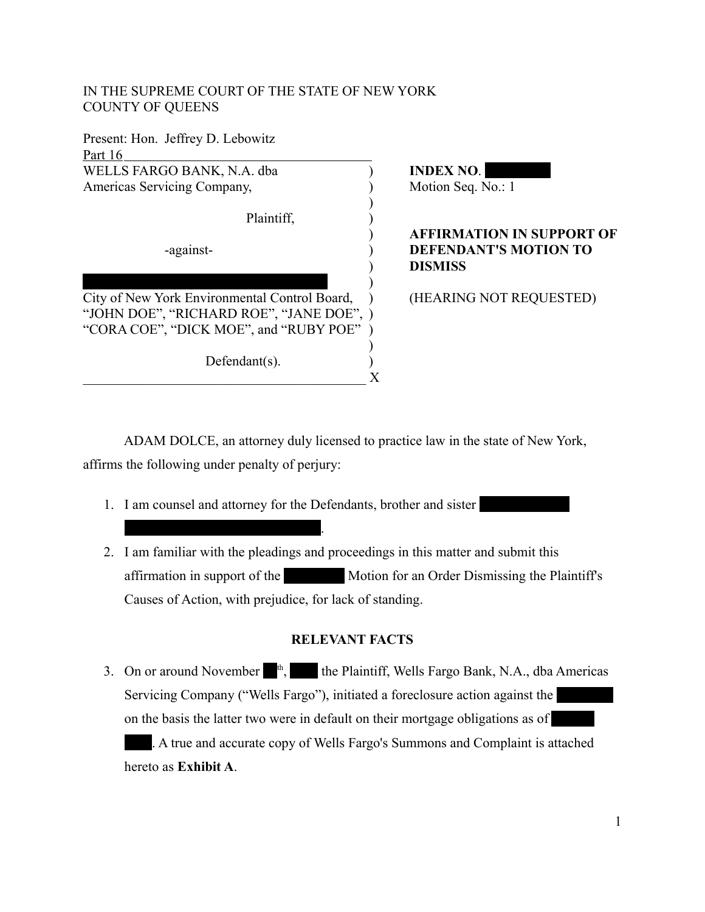# IN THE SUPREME COURT OF THE STATE OF NEW YORK COUNTY OF QUEENS

| Present: Hon. Jeffrey D. Lebowitz             |  |  |  |  |  |
|-----------------------------------------------|--|--|--|--|--|
| Part 16                                       |  |  |  |  |  |
| WELLS FARGO BANK, N.A. dba                    |  |  |  |  |  |
| Americas Servicing Company,                   |  |  |  |  |  |
|                                               |  |  |  |  |  |
| Plaintiff,                                    |  |  |  |  |  |
|                                               |  |  |  |  |  |
| -against-                                     |  |  |  |  |  |
|                                               |  |  |  |  |  |
|                                               |  |  |  |  |  |
| City of New York Environmental Control Board, |  |  |  |  |  |
| "JOHN DOE", "RICHARD ROE", "JANE DOE", )      |  |  |  |  |  |
| "CORA COE", "DICK MOE", and "RUBY POE"        |  |  |  |  |  |
|                                               |  |  |  |  |  |
| $Defendant(s)$ .                              |  |  |  |  |  |
|                                               |  |  |  |  |  |

Oyervide (hereinafter "Oyervides").

**INDEX NO.** Motion Seq. No.: 1

## ) **AFFIRMATION IN SUPPORT OF DEFENDANT'S MOTION TO** ) **DISMISS**

(HEARING NOT REQUESTED)

ADAM DOLCE, an attorney duly licensed to practice law in the state of New York, affirms the following under penalty of perjury:

- 1. I am counsel and attorney for the Defendants, brother and sister
- 2. I am familiar with the pleadings and proceedings in this matter and submit this affirmation in support of the Motion for an Order Dismissing the Plaintiff's Causes of Action, with prejudice, for lack of standing.

## **RELEVANT FACTS**

3. On or around November  $\mathbb{I}^{\text{th}}$ , the Plaintiff, Wells Fargo Bank, N.A., dba Americas Servicing Company ("Wells Fargo"), initiated a foreclosure action against the on the basis the latter two were in default on their mortgage obligations as of . A true and accurate copy of Wells Fargo's Summons and Complaint is attached hereto as **Exhibit A**.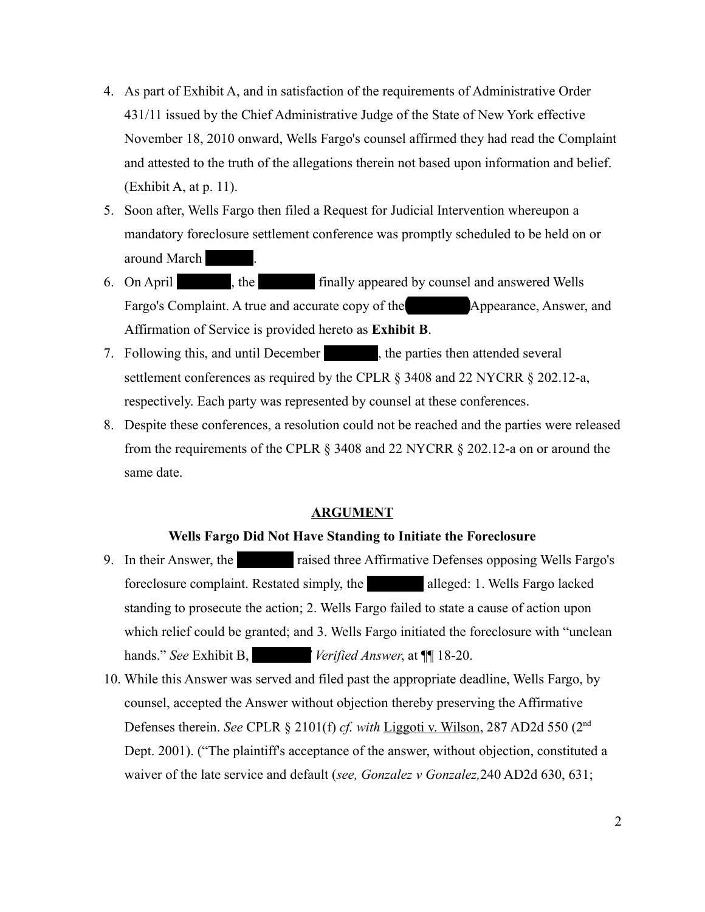- 4. As part of Exhibit A, and in satisfaction of the requirements of Administrative Order 431/11 issued by the Chief Administrative Judge of the State of New York effective November 18, 2010 onward, Wells Fargo's counsel affirmed they had read the Complaint and attested to the truth of the allegations therein not based upon information and belief. (Exhibit A, at p. 11).
- 5. Soon after, Wells Fargo then filed a Request for Judicial Intervention whereupon a mandatory foreclosure settlement conference was promptly scheduled to be held on or around March 6 th, 2013.
- 6. On April 17th, 2013, the Counsel and answered Wells Fargo's Complaint. A true and accurate copy of the **Oyen Appearance**, Answer, and Affirmation of Service is provided hereto as **Exhibit B**.
- 7. Following this, and until December  $\qquad \qquad$ , the parties then attended several settlement conferences as required by the CPLR § 3408 and 22 NYCRR § 202.12-a, respectively. Each party was represented by counsel at these conferences.
- 8. Despite these conferences, a resolution could not be reached and the parties were released from the requirements of the CPLR § 3408 and 22 NYCRR § 202.12-a on or around the same date.

### **ARGUMENT**

#### **Wells Fargo Did Not Have Standing to Initiate the Foreclosure**

- 9. In their Answer, the **Ourier answers raised three Affirmative Defenses opposing Wells Fargo's** foreclosure complaint. Restated simply, the alleged: 1. Wells Fargo lacked standing to prosecute the action; 2. Wells Fargo failed to state a cause of action upon which relief could be granted; and 3. Wells Fargo initiated the foreclosure with "unclean hands." *See* Exhibit B, *Verified Answer*, at **[[**] 18-20.
- 10. While this Answer was served and filed past the appropriate deadline, Wells Fargo, by counsel, accepted the Answer without objection thereby preserving the Affirmative Defenses therein. *See* CPLR § 2101(f) *cf. with* Liggoti v. Wilson, 287 AD2d 550 (2nd Dept. 2001). ("The plaintiff's acceptance of the answer, without objection, constituted a waiver of the late service and default (*see, Gonzalez v Gonzalez,*240 AD2d 630, 631;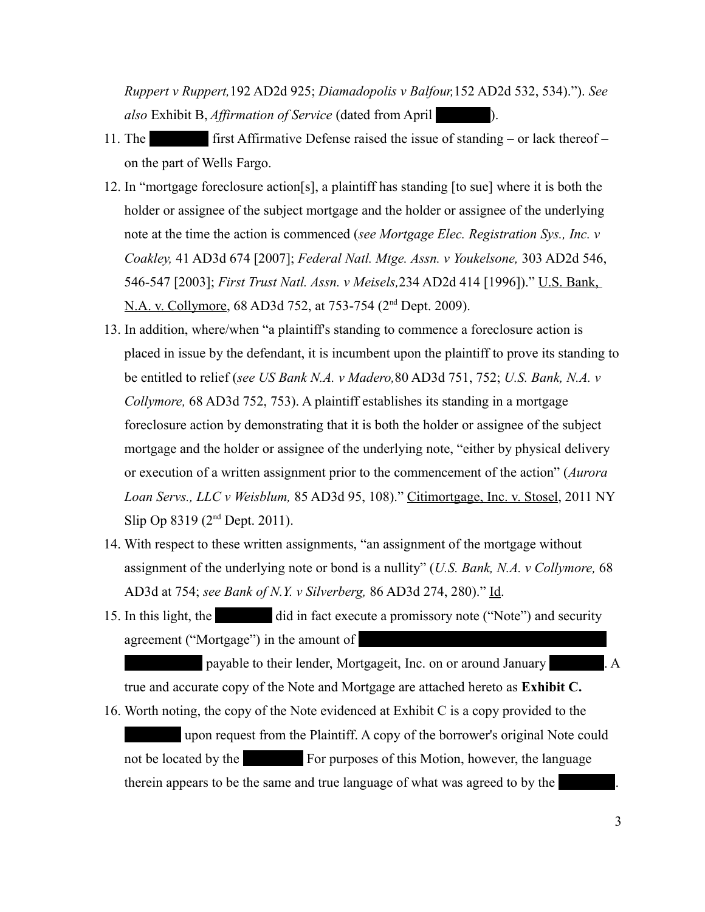*Ruppert v Ruppert,*192 AD2d 925; *Diamadopolis v Balfour,*152 AD2d 532, 534)."). *See also* Exhibit B, *Affirmation of Service* (dated from April 17th, 2013).

- 11. The  $\blacksquare$  first Affirmative Defense raised the issue of standing or lack thereof on the part of Wells Fargo.
- 12. In "mortgage foreclosure action[s], a plaintiff has standing [to sue] where it is both the holder or assignee of the subject mortgage and the holder or assignee of the underlying note at the time the action is commenced (*see Mortgage Elec. Registration Sys., Inc. v Coakley,* 41 AD3d 674 [2007]; *Federal Natl. Mtge. Assn. v Youkelsone,* 303 AD2d 546, 546-547 [2003]; *First Trust Natl. Assn. v Meisels,*234 AD2d 414 [1996])." U.S. Bank, N.A. v. Collymore, 68 AD3d 752, at 753-754 (2<sup>nd</sup> Dept. 2009).
- 13. In addition, where/when "a plaintiff's standing to commence a foreclosure action is placed in issue by the defendant, it is incumbent upon the plaintiff to prove its standing to be entitled to relief (*see US Bank N.A. v Madero,*80 AD3d 751, 752; *U.S. Bank, N.A. v Collymore,* 68 AD3d 752, 753). A plaintiff establishes its standing in a mortgage foreclosure action by demonstrating that it is both the holder or assignee of the subject mortgage and the holder or assignee of the underlying note, "either by physical delivery or execution of a written assignment prior to the commencement of the action" (*Aurora Loan Servs., LLC v Weisblum,* 85 AD3d 95, 108)." Citimortgage, Inc. v. Stosel, 2011 NY Slip Op 8319 (2nd Dept. 2011).
- 14. With respect to these written assignments, "an assignment of the mortgage without assignment of the underlying note or bond is a nullity" (*U.S. Bank, N.A. v Collymore,* 68 AD3d at 754; *see Bank of N.Y. v Silverberg,* 86 AD3d 274, 280)." Id.
- 15. In this light, the did in fact execute a promissory note ("Note") and security agreement ("Mortgage") in the amount of

payable to their lender, Mortgageit, Inc. on or around January 1. A true and accurate copy of the Note and Mortgage are attached hereto as **Exhibit C.**

16. Worth noting, the copy of the Note evidenced at Exhibit C is a copy provided to the upon request from the Plaintiff. A copy of the borrower's original Note could not be located by the **EXEC EXEC EXECUTES** For purposes of this Motion, however, the language therein appears to be the same and true language of what was agreed to by the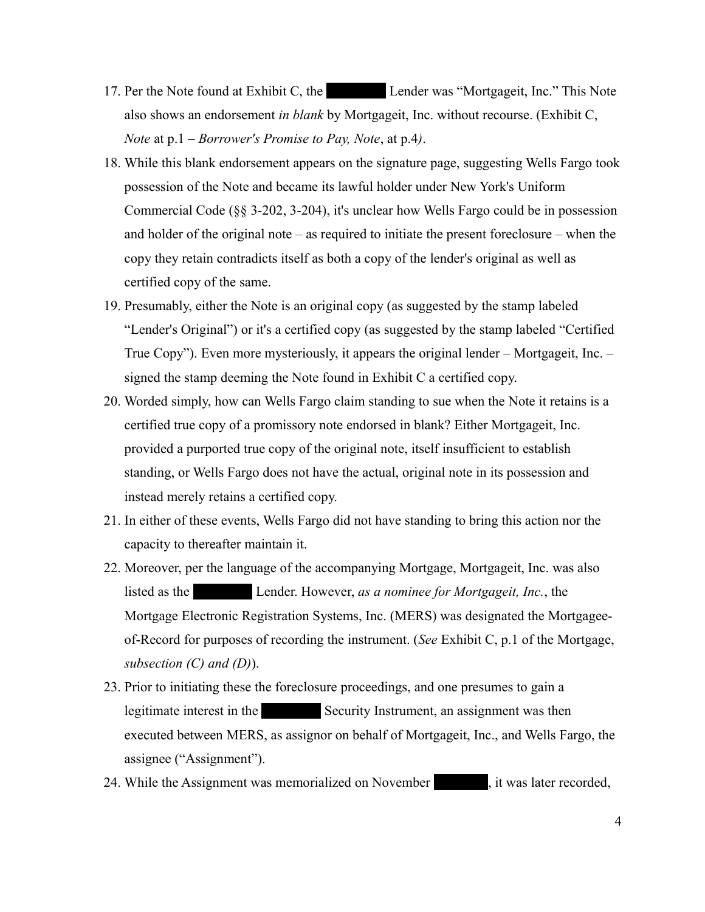- 17. Per the Note found at Exhibit C, the Lender was "Mortgageit, Inc." This Note also shows an endorsement *in blank* by Mortgageit, Inc. without recourse. (Exhibit C, *Note* at p.1 – *Borrower's Promise to Pay, Note*, at p.4*)*.
- 18. While this blank endorsement appears on the signature page, suggesting Wells Fargo took possession of the Note and became its lawful holder under New York's Uniform Commercial Code (§§ 3-202, 3-204), it's unclear how Wells Fargo could be in possession and holder of the original note – as required to initiate the present foreclosure – when the copy they retain contradicts itself as both a copy of the lender's original as well as certified copy of the same.
- 19. Presumably, either the Note is an original copy (as suggested by the stamp labeled "Lender's Original") or it's a certified copy (as suggested by the stamp labeled "Certified True Copy"). Even more mysteriously, it appears the original lender – Mortgageit, Inc. – signed the stamp deeming the Note found in Exhibit C a certified copy.
- 20. Worded simply, how can Wells Fargo claim standing to sue when the Note it retains is a certified true copy of a promissory note endorsed in blank? Either Mortgageit, Inc. provided a purported true copy of the original note, itself insufficient to establish standing, or Wells Fargo does not have the actual, original note in its possession and instead merely retains a certified copy.
- 21. In either of these events, Wells Fargo did not have standing to bring this action nor the capacity to thereafter maintain it.
- 22. Moreover, per the language of the accompanying Mortgage, Mortgageit, Inc. was also listed as the **Lender.** However, *as a nominee for Mortgageit, Inc.*, the Mortgage Electronic Registration Systems, Inc. (MERS) was designated the Mortgageeof-Record for purposes of recording the instrument. (*See* Exhibit C, p.1 of the Mortgage, *subsection (C) and (D)*).
- 23. Prior to initiating these the foreclosure proceedings, and one presumes to gain a legitimate interest in the Security Instrument, an assignment was then executed between MERS, as assignor on behalf of Mortgageit, Inc., and Wells Fargo, the assignee ("Assignment").
- 24. While the Assignment was memorialized on November 15th, it was later recorded,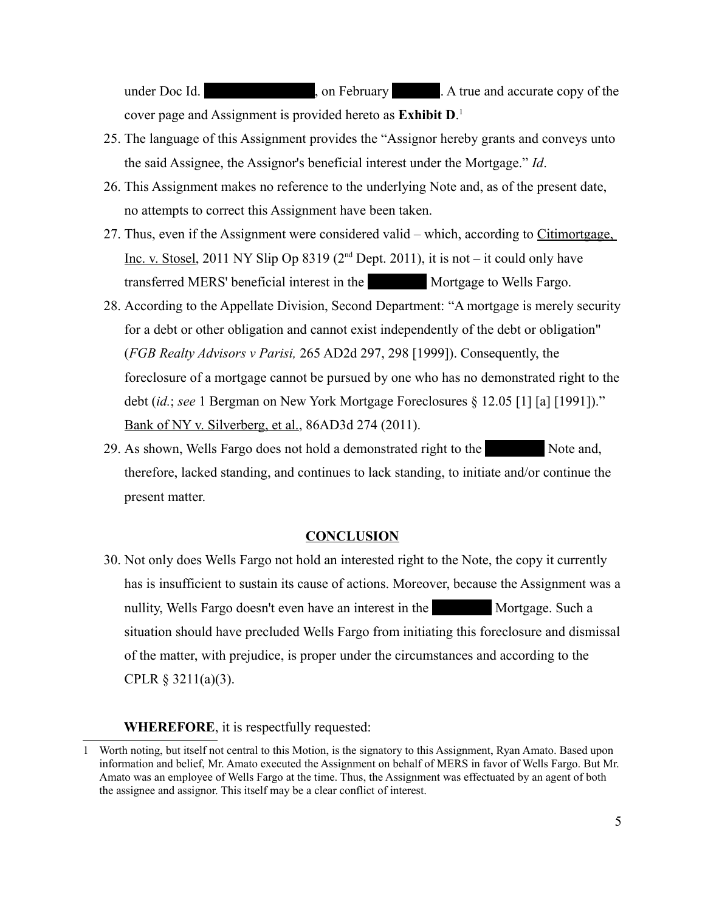under Doc Id. (2012) (2012), on February 2012. A true and accurate copy of the cover page and Assignment is provided hereto as **Exhibit D**. [1](#page-4-0)

- 25. The language of this Assignment provides the "Assignor hereby grants and conveys unto the said Assignee, the Assignor's beneficial interest under the Mortgage." *Id*.
- 26. This Assignment makes no reference to the underlying Note and, as of the present date, no attempts to correct this Assignment have been taken.
- 27. Thus, even if the Assignment were considered valid which, according to Citimortgage, Inc. v. Stosel, 2011 NY Slip Op 8319 ( $2<sup>nd</sup>$  Dept. 2011), it is not – it could only have transferred MERS' beneficial interest in the Mortgage to Wells Fargo.
- 28. According to the Appellate Division, Second Department: "A mortgage is merely security for a debt or other obligation and cannot exist independently of the debt or obligation" (*FGB Realty Advisors v Parisi,* 265 AD2d 297, 298 [1999]). Consequently, the foreclosure of a mortgage cannot be pursued by one who has no demonstrated right to the debt (*id.*; *see* 1 Bergman on New York Mortgage Foreclosures § 12.05 [1] [a] [1991])." Bank of NY v. Silverberg, et al., 86AD3d 274 (2011).
- 29. As shown, Wells Fargo does not hold a demonstrated right to the Note and, therefore, lacked standing, and continues to lack standing, to initiate and/or continue the present matter.

## **CONCLUSION**

30. Not only does Wells Fargo not hold an interested right to the Note, the copy it currently has is insufficient to sustain its cause of actions. Moreover, because the Assignment was a nullity, Wells Fargo doesn't even have an interest in the Mortgage. Such a situation should have precluded Wells Fargo from initiating this foreclosure and dismissal of the matter, with prejudice, is proper under the circumstances and according to the CPLR  $\S$  3211(a)(3).

## **WHEREFORE**, it is respectfully requested:

<span id="page-4-0"></span><sup>1</sup> Worth noting, but itself not central to this Motion, is the signatory to this Assignment, Ryan Amato. Based upon information and belief, Mr. Amato executed the Assignment on behalf of MERS in favor of Wells Fargo. But Mr. Amato was an employee of Wells Fargo at the time. Thus, the Assignment was effectuated by an agent of both the assignee and assignor. This itself may be a clear conflict of interest.